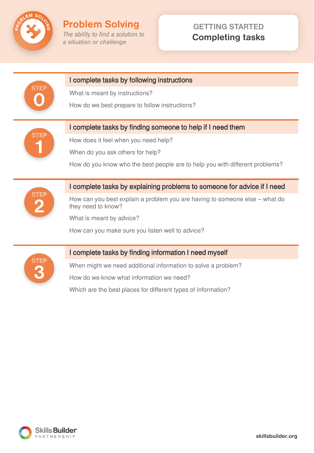

# **GETTING STARTED Completing tasks**



Which are the best places for different types of information?

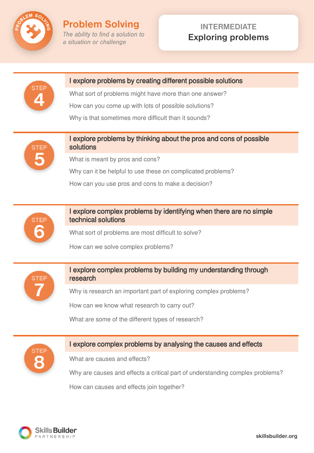

# **INTERMEDIATE Exploring problems**



#### I explore problems by creating different possible solutions

What sort of problems might have more than one answer?

How can you come up with lots of possible solutions?

Why is that sometimes more difficult than it sounds?



### I explore problems by thinking about the pros and cons of possible solutions

What is meant by pros and cons?

Why can it be helpful to use these on complicated problems?

How can you use pros and cons to make a decision?



### I explore complex problems by identifying when there are no simple technical solutions

What sort of problems are most difficult to solve?

How can we solve complex problems?



### I explore complex problems by building my understanding through research

Why is research an important part of exploring complex problems?

How can we know what research to carry out?

What are some of the different types of research?



## I explore complex problems by analysing the causes and effects

What are causes and effects?

Why are causes and effects a critical part of understanding complex problems?

How can causes and effects join together?

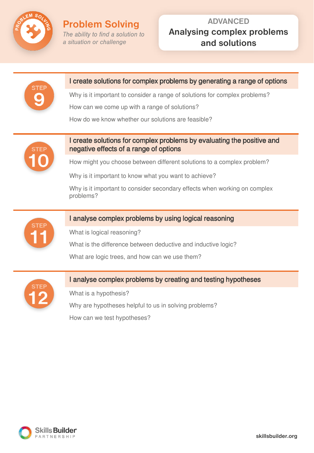

# **ADVANCED Analysing complex problems and solutions**



#### I create solutions for complex problems by generating a range of options

Why is it important to consider a range of solutions for complex problems?

How can we come up with a range of solutions?

How do we know whether our solutions are feasible?



#### I create solutions for complex problems by evaluating the positive and negative effects of a range of options

How might you choose between different solutions to a complex problem?

Why is it important to know what you want to achieve?

Why is it important to consider secondary effects when working on complex problems?



### I analyse complex problems by using logical reasoning

What is logical reasoning?

What is the difference between deductive and inductive logic?

What are logic trees, and how can we use them?



### I analyse complex problems by creating and testing hypotheses

What is a hypothesis? Why are hypotheses helpful to us in solving problems? How can we test hypotheses?